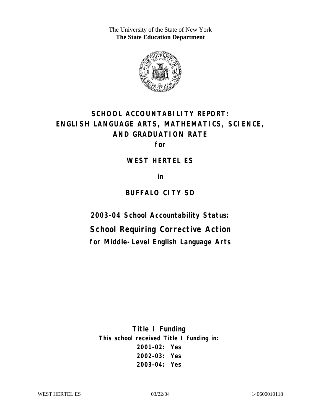The University of the State of New York **The State Education Department** 



# **SCHOOL ACCOUNTABILITY REPORT: ENGLISH LANGUAGE ARTS, MATHEMATICS, SCIENCE, AND GRADUATION RATE**

**for** 

**WEST HERTEL ES** 

**in** 

## **BUFFALO CITY SD**

**2003–04 School Accountability Status:** 

**School Requiring Corrective Action for Middle-Level English Language Arts**

**Title I Funding This school received Title I funding in: 2001–02: Yes 2002–03: Yes 2003–04: Yes**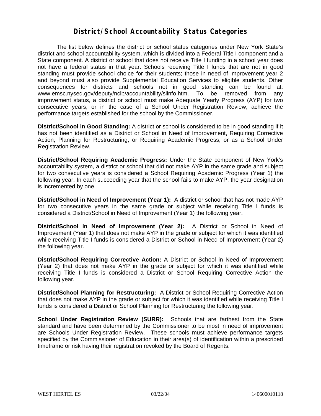### **District/School Accountability Status Categories**

The list below defines the district or school status categories under New York State's district and school accountability system, which is divided into a Federal Title I component and a State component. A district or school that does not receive Title I funding in a school year does not have a federal status in that year. Schools receiving Title I funds that are not in good standing must provide school choice for their students; those in need of improvement year 2 and beyond must also provide Supplemental Education Services to eligible students. Other consequences for districts and schools not in good standing can be found at: www.emsc.nysed.gov/deputy/nclb/accountability/siinfo.htm. To be removed from any improvement status, a district or school must make Adequate Yearly Progress (AYP) for two consecutive years, or in the case of a School Under Registration Review, achieve the performance targets established for the school by the Commissioner.

**District/School in Good Standing:** A district or school is considered to be in good standing if it has not been identified as a District or School in Need of Improvement, Requiring Corrective Action, Planning for Restructuring, or Requiring Academic Progress, or as a School Under Registration Review.

**District/School Requiring Academic Progress:** Under the State component of New York's accountability system, a district or school that did not make AYP in the same grade and subject for two consecutive years is considered a School Requiring Academic Progress (Year 1) the following year. In each succeeding year that the school fails to make AYP, the year designation is incremented by one.

**District/School in Need of Improvement (Year 1):** A district or school that has not made AYP for two consecutive years in the same grade or subject while receiving Title I funds is considered a District/School in Need of Improvement (Year 1) the following year.

**District/School in Need of Improvement (Year 2):** A District or School in Need of Improvement (Year 1) that does not make AYP in the grade or subject for which it was identified while receiving Title I funds is considered a District or School in Need of Improvement (Year 2) the following year.

**District/School Requiring Corrective Action:** A District or School in Need of Improvement (Year 2) that does not make AYP in the grade or subject for which it was identified while receiving Title I funds is considered a District or School Requiring Corrective Action the following year.

**District/School Planning for Restructuring:** A District or School Requiring Corrective Action that does not make AYP in the grade or subject for which it was identified while receiving Title I funds is considered a District or School Planning for Restructuring the following year.

**School Under Registration Review (SURR):** Schools that are farthest from the State standard and have been determined by the Commissioner to be most in need of improvement are Schools Under Registration Review. These schools must achieve performance targets specified by the Commissioner of Education in their area(s) of identification within a prescribed timeframe or risk having their registration revoked by the Board of Regents.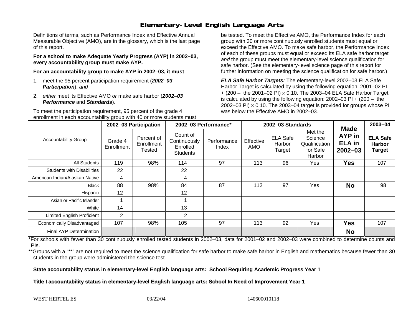### **Elementary-Level English Language Arts**

Definitions of terms, such as Performance Index and Effective Annual Measurable Objective (AMO), are in the glossary, which is the last page of this report.

**For a school to make Adequate Yearly Progress (AYP) in 2002–03, every accountability group must make AYP.** 

**For an accountability group to make AYP in 2002–03, it must** 

- 1. meet the 95 percent participation requirement (*2002–03 Participation*), *and*
- 2. *either* meet its Effective AMO *or* make safe harbor (*2002–03 Performance* and *Standards*).

To meet the participation requirement, 95 percent of the grade 4 enrollment in each accountability group with 40 or more students must

be tested. To meet the Effective AMO, the Performance Index for each group with 30 or more continuously enrolled students must equal or exceed the Effective AMO. To make safe harbor, the Performance Index of each of these groups must equal or exceed its ELA safe harbor target *and* the group must meet the elementary-level science qualification for safe harbor. (See the elementary-level science page of this report for further information on meeting the science qualification for safe harbor.)

*ELA Safe Harbor Targets:* The elementary-level 2002–03 ELA Safe Harbor Target is calculated by using the following equation: 2001–02 PI + (200 – the 2001–02 PI) <sup>×</sup> 0.10. The 2003–04 ELA Safe Harbor Target is calculated by using the following equation: 2002–03 PI + (200 – the 2002–03 PI)  $\times$  0.10. The 2003–04 target is provided for groups whose PI was below the Effective AMO in 2002–03.

|                                   |                       | 2002-03 Participation              | 2002-03 Performance*                                    |                      | 2002-03 Standards |                                     |                                                           |                                                              | 2003-04                                           |
|-----------------------------------|-----------------------|------------------------------------|---------------------------------------------------------|----------------------|-------------------|-------------------------------------|-----------------------------------------------------------|--------------------------------------------------------------|---------------------------------------------------|
| <b>Accountability Group</b>       | Grade 4<br>Enrollment | Percent of<br>Enrollment<br>Tested | Count of<br>Continuously<br>Enrolled<br><b>Students</b> | Performance<br>Index | Effective<br>AMO  | <b>ELA Safe</b><br>Harbor<br>Target | Met the<br>Science<br>Qualification<br>for Safe<br>Harbor | <b>Made</b><br><b>AYP</b> in<br><b>ELA</b> in<br>$2002 - 03$ | <b>ELA Safe</b><br><b>Harbor</b><br><b>Target</b> |
| All Students                      | 119                   | 98%                                | 114                                                     | 97                   | 113               | 96                                  | Yes                                                       | <b>Yes</b>                                                   | 107                                               |
| <b>Students with Disabilities</b> | 22                    |                                    | 22                                                      |                      |                   |                                     |                                                           |                                                              |                                                   |
| American Indian/Alaskan Native    | 4                     |                                    | 4                                                       |                      |                   |                                     |                                                           |                                                              |                                                   |
| Black                             | 88                    | 98%                                | 84                                                      | 87                   | 112               | 97                                  | Yes                                                       | <b>No</b>                                                    | 98                                                |
| Hispanic                          | 12                    |                                    | 12                                                      |                      |                   |                                     |                                                           |                                                              |                                                   |
| Asian or Pacific Islander         |                       |                                    |                                                         |                      |                   |                                     |                                                           |                                                              |                                                   |
| White                             | 14                    |                                    | 13                                                      |                      |                   |                                     |                                                           |                                                              |                                                   |
| <b>Limited English Proficient</b> | $\overline{2}$        |                                    | $\overline{2}$                                          |                      |                   |                                     |                                                           |                                                              |                                                   |
| Economically Disadvantaged        | 107                   | 98%                                | 105                                                     | 97                   | 113               | 92                                  | Yes                                                       | <b>Yes</b>                                                   | 107                                               |
| Final AYP Determination           |                       |                                    |                                                         |                      |                   |                                     |                                                           | <b>No</b>                                                    |                                                   |

\*For schools with fewer than 30 continuously enrolled tested students in 2002–03, data for 2001–02 and 2002–03 were combined to determine counts and PIs.

\*\*Groups with a "\*\*" are not required to meet the science qualification for safe harbor to make safe harbor in English and mathematics because fewer than 30 students in the group were administered the science test.

**State accountability status in elementary-level English language arts: School Requiring Academic Progress Year 1** 

Title I accountability status in elementary-level English language arts: School In Need of Improvement Year 1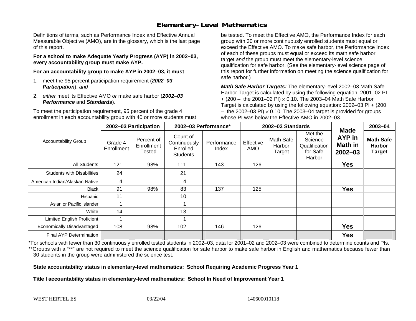### **Elementary-Level Mathematics**

Definitions of terms, such as Performance Index and Effective Annual Measurable Objective (AMO), are in the glossary, which is the last page of this report.

**For a school to make Adequate Yearly Progress (AYP) in 2002–03, every accountability group must make AYP.** 

**For an accountability group to make AYP in 2002–03, it must** 

- 1. meet the 95 percent participation requirement (*2002–03 Participation*), *and*
- 2. *either* meet its Effective AMO *or* make safe harbor (*2002–03 Performance* and *Standards*).

To meet the participation requirement, 95 percent of the grade 4 enrollment in each accountability group with 40 or more students must

be tested. To meet the Effective AMO, the Performance Index for each group with 30 or more continuously enrolled students must equal or exceed the Effective AMO. To make safe harbor, the Performance Index of each of these groups must equal or exceed its math safe harbor target *and* the group must meet the elementary-level science qualification for safe harbor. (See the elementary-level science page of this report for further information on meeting the science qualification for safe harbor.)

*Math Safe Harbor Targets:* The elementary-level 2002–03 Math Safe Harbor Target is calculated by using the following equation: 2001–02 PI + (200 – the 2001–02 PI) × 0.10. The 2003–04 Math Safe Harbor Target is calculated by using the following equation: 2002–03 PI + (200  $-$  the 2002–03 PI)  $\times$  0.10. The 2003–04 target is provided for groups whose PI was below the Effective AMO in 2002–03.

|                                   | 2002-03 Participation |                                    | 2002-03 Performance*                                    |                      | 2002-03 Standards       |                               |                                                           |                                                        | 2003-04                                            |
|-----------------------------------|-----------------------|------------------------------------|---------------------------------------------------------|----------------------|-------------------------|-------------------------------|-----------------------------------------------------------|--------------------------------------------------------|----------------------------------------------------|
| <b>Accountability Group</b>       | Grade 4<br>Enrollment | Percent of<br>Enrollment<br>Tested | Count of<br>Continuously<br>Enrolled<br><b>Students</b> | Performance<br>Index | Effective<br><b>AMO</b> | Math Safe<br>Harbor<br>Target | Met the<br>Science<br>Qualification<br>for Safe<br>Harbor | <b>Made</b><br>AYP in<br><b>Math in</b><br>$2002 - 03$ | <b>Math Safe</b><br><b>Harbor</b><br><b>Target</b> |
| All Students                      | 121                   | 98%                                | 111                                                     | 143                  | 126                     |                               |                                                           | Yes                                                    |                                                    |
| <b>Students with Disabilities</b> | 24                    |                                    | 21                                                      |                      |                         |                               |                                                           |                                                        |                                                    |
| American Indian/Alaskan Native    | 4                     |                                    | 4                                                       |                      |                         |                               |                                                           |                                                        |                                                    |
| <b>Black</b>                      | 91                    | 98%                                | 83                                                      | 137                  | 125                     |                               |                                                           | <b>Yes</b>                                             |                                                    |
| Hispanic                          | 11                    |                                    | 10                                                      |                      |                         |                               |                                                           |                                                        |                                                    |
| Asian or Pacific Islander         |                       |                                    |                                                         |                      |                         |                               |                                                           |                                                        |                                                    |
| White                             | 14                    |                                    | 13                                                      |                      |                         |                               |                                                           |                                                        |                                                    |
| Limited English Proficient        |                       |                                    |                                                         |                      |                         |                               |                                                           |                                                        |                                                    |
| Economically Disadvantaged        | 108                   | 98%                                | 102                                                     | 146                  | 126                     |                               |                                                           | <b>Yes</b>                                             |                                                    |
| <b>Final AYP Determination</b>    |                       |                                    |                                                         |                      |                         |                               |                                                           | <b>Yes</b>                                             |                                                    |

\*For schools with fewer than 30 continuously enrolled tested students in 2002–03, data for 2001–02 and 2002–03 were combined to determine counts and PIs. \*\*Groups with a "\*\*" are not required to meet the science qualification for safe harbor to make safe harbor in English and mathematics because fewer than 30 students in the group were administered the science test.

**State accountability status in elementary-level mathematics: School Requiring Academic Progress Year 1** 

Title I accountability status in elementary-level mathematics: School In Need of Improvement Year 1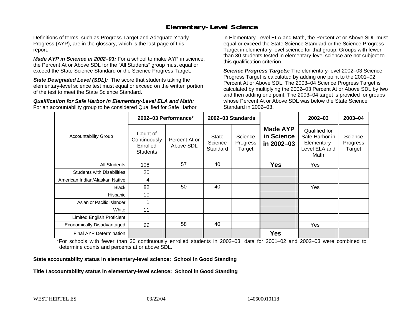### **Elementary-Level Science**

Definitions of terms, such as Progress Target and Adequate Yearly Progress (AYP), are in the glossary, which is the last page of this report.

*Made AYP in Science in 2002–03:* For a school to make AYP in science, the Percent At or Above SDL for the "All Students" group must equal or exceed the State Science Standard or the Science Progress Target.

**State Designated Level (SDL):** The score that students taking the elementary-level science test must equal or exceed on the written portion of the test to meet the State Science Standard.

*Qualification for Safe Harbor in Elementary-Level ELA and Math:* For an accountability group to be considered Qualified for Safe Harbor in Elementary-Level ELA and Math, the Percent At or Above SDL must equal or exceed the State Science Standard or the Science Progress Target in elementary-level science for that group. Groups with fewer than 30 students tested in elementary-level science are not subject to this qualification criterion.

*Science Progress Targets:* The elementary-level 2002–03 Science Progress Target is calculated by adding one point to the 2001–02 Percent At or Above SDL. The 2003–04 Science Progress Target is calculated by multiplying the 2002–03 Percent At or Above SDL by two and then adding one point. The 2003–04 target is provided for groups whose Percent At or Above SDL was below the State Science Standard in 2002–03.

|                                   |                                                                                       | 2002-03 Performance* | 2002-03 Standards            |                               |                                             | $2002 - 03$                                                             | $2003 - 04$                   |
|-----------------------------------|---------------------------------------------------------------------------------------|----------------------|------------------------------|-------------------------------|---------------------------------------------|-------------------------------------------------------------------------|-------------------------------|
| <b>Accountability Group</b>       | Count of<br>Continuously<br>Percent At or<br>Enrolled<br>Above SDL<br><b>Students</b> |                      | State<br>Science<br>Standard | Science<br>Progress<br>Target | <b>Made AYP</b><br>in Science<br>in 2002-03 | Qualified for<br>Safe Harbor in<br>Elementary-<br>Level ELA and<br>Math | Science<br>Progress<br>Target |
| <b>All Students</b>               | 108                                                                                   | 57                   | 40                           |                               | <b>Yes</b>                                  | Yes                                                                     |                               |
| <b>Students with Disabilities</b> | 20                                                                                    |                      |                              |                               |                                             |                                                                         |                               |
| American Indian/Alaskan Native    | 4                                                                                     |                      |                              |                               |                                             |                                                                         |                               |
| <b>Black</b>                      | 82                                                                                    | 50                   | 40                           |                               |                                             | Yes                                                                     |                               |
| Hispanic                          | 10                                                                                    |                      |                              |                               |                                             |                                                                         |                               |
| Asian or Pacific Islander         |                                                                                       |                      |                              |                               |                                             |                                                                         |                               |
| White                             | 11                                                                                    |                      |                              |                               |                                             |                                                                         |                               |
| Limited English Proficient        |                                                                                       |                      |                              |                               |                                             |                                                                         |                               |
| Economically Disadvantaged        | 99                                                                                    | 58                   | 40                           |                               |                                             | Yes                                                                     |                               |
| <b>Final AYP Determination</b>    |                                                                                       |                      |                              |                               | <b>Yes</b>                                  |                                                                         |                               |

\*For schools with fewer than 30 continuously enrolled students in 2002–03, data for 2001–02 and 2002–03 were combined to determine counts and percents at or above SDL.

#### **State accountability status in elementary-level science: School in Good Standing**

#### Title I accountability status in elementary-level science: School in Good Standing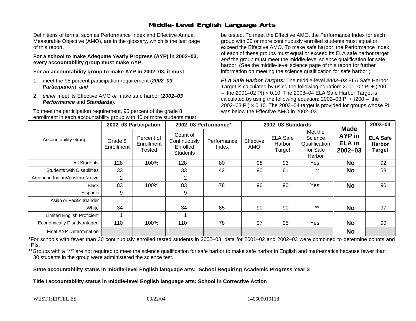### **Middle-Level English Language Arts**

Definitions of terms, such as Performance Index and Effective Annual Measurable Objective (AMO), are in the glossary, which is the last page of this report.

**For a school to make Adequate Yearly Progress (AYP) in 2002–03, every accountability group must make AYP.** 

**For an accountability group to make AYP in 2002–03, it must** 

- 1. meet the 95 percent participation requirement (*2002–03 Participation*), *and*
- 2. *either* meet its Effective AMO *or* make safe harbor (*2002–03 Performance* and *Standards*).

To meet the participation requirement, 95 percent of the grade 8 enrollment in each accountability group with 40 or more students must

be tested. To meet the Effective AMO, the Performance Index for each group with 30 or more continuously enrolled students must equal or exceed the Effective AMO. To make safe harbor, the Performance Index of each of these groups must equal or exceed its ELA safe harbor target *and* the group must meet the middle-level science qualification for safe harbor. (See the middle-level science page of this report for further information on meeting the science qualification for safe harbor.)

*ELA Safe Harbor Targets:* The middle-level *2002–03* ELA Safe Harbor Target is calculated by using the following equation: 2001–02 PI + (200  $-$  the 2001–02 PI)  $\times$  0.10. The 2003–04 ELA Safe Harbor Target is  $\,$ calculated by using the following equation:  $2002-03$  PI +  $(200 -$  the 2002–03 PI)  $\times$  0.10. The 2003–04 target is provided for groups whose PI was below the Effective AMO in 2002–03.

|                                   | 2002-03 Participation |                                    | 2002-03 Performance*                                    |                      |                         | 2002-03 Standards                   |                                                           | 2003-04                                                      |                                                   |
|-----------------------------------|-----------------------|------------------------------------|---------------------------------------------------------|----------------------|-------------------------|-------------------------------------|-----------------------------------------------------------|--------------------------------------------------------------|---------------------------------------------------|
| <b>Accountability Group</b>       | Grade 8<br>Enrollment | Percent of<br>Enrollment<br>Tested | Count of<br>Continuously<br>Enrolled<br><b>Students</b> | Performance<br>Index | Effective<br><b>AMO</b> | <b>ELA Safe</b><br>Harbor<br>Target | Met the<br>Science<br>Qualification<br>for Safe<br>Harbor | <b>Made</b><br><b>AYP</b> in<br><b>ELA</b> in<br>$2002 - 03$ | <b>ELA Safe</b><br><b>Harbor</b><br><b>Target</b> |
| All Students                      | 128                   | 100%                               | 128                                                     | 80                   | 98                      | 93                                  | Yes                                                       | <b>No</b>                                                    | 92                                                |
| <b>Students with Disabilities</b> | 33                    |                                    | 33                                                      | 42                   | 90                      | 61                                  | $***$                                                     | <b>No</b>                                                    | 58                                                |
| American Indian/Alaskan Native    | $\overline{2}$        |                                    | 2                                                       |                      |                         |                                     |                                                           |                                                              |                                                   |
| <b>Black</b>                      | 83                    | 100%                               | 83                                                      | 78                   | 96                      | 90                                  | Yes                                                       | <b>No</b>                                                    | 90                                                |
| Hispanic                          | 9                     |                                    | 9                                                       |                      |                         |                                     |                                                           |                                                              |                                                   |
| Asian or Pacific Islander         |                       |                                    |                                                         |                      |                         |                                     |                                                           |                                                              |                                                   |
| White                             | 34                    |                                    | 34                                                      | 85                   | 90                      | 90                                  | $***$                                                     | <b>No</b>                                                    | 97                                                |
| <b>Limited English Proficient</b> |                       |                                    |                                                         |                      |                         |                                     |                                                           |                                                              |                                                   |
| Economically Disadvantaged        | 110                   | 100%                               | 110                                                     | 78                   | 97                      | 95                                  | Yes                                                       | <b>No</b>                                                    | 90                                                |
| Final AYP Determination           |                       |                                    |                                                         |                      |                         |                                     |                                                           | <b>No</b>                                                    |                                                   |

\*For schools with fewer than 30 continuously enrolled tested students in 2002–03, data for 2001–02 and 2002–03 were combined to determine counts and PIs.

\*\*Groups with a "\*\*" are not required to meet the science qualification for safe harbor to make safe harbor in English and mathematics because fewer than 30 students in the group were administered the science test.

**State accountability status in middle-level English language arts: School Requiring Academic Progress Year 3** 

Title I accountability status in middle-level English language arts: School in Corrective Action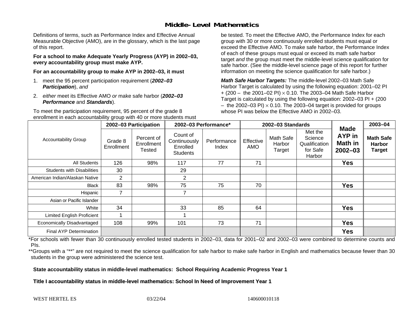### **Middle-Level Mathematics**

Definitions of terms, such as Performance Index and Effective Annual Measurable Objective (AMO), are in the glossary, which is the last page of this report.

**For a school to make Adequate Yearly Progress (AYP) in 2002–03, every accountability group must make AYP.** 

**For an accountability group to make AYP in 2002–03, it must** 

- 1. meet the 95 percent participation requirement (*2002–03 Participation*), *and*
- 2. *either* meet its Effective AMO *or* make safe harbor (*2002–03 Performance* and *Standards*).

To meet the participation requirement, 95 percent of the grade 8 enrollment in each accountability group with 40 or more students must be tested. To meet the Effective AMO, the Performance Index for each group with 30 or more continuously enrolled students must equal or exceed the Effective AMO. To make safe harbor, the Performance Index of each of these groups must equal or exceed its math safe harbor target *and* the group must meet the middle-level science qualification for safe harbor. (See the middle-level science page of this report for further information on meeting the science qualification for safe harbor.)

*Math Safe Harbor Targets:* The middle-level 2002–03 Math Safe Harbor Target is calculated by using the following equation: 2001–02 PI + (200 – the 2001–02 PI) × 0.10. The 2003–04 Math Safe Harbor Target is calculated by using the following equation: 2002–03 PI + (200  $-$  the 2002–03 PI)  $\times$  0.10. The 2003–04 target is provided for groups whose PI was below the Effective AMO in 2002–03

|                                   |                       | 2002-03 Participation                     | 2002-03 Performance*                                    |                      |                         | 2002-03 Standards             |                                                           | 2003-04                                                |                                                    |
|-----------------------------------|-----------------------|-------------------------------------------|---------------------------------------------------------|----------------------|-------------------------|-------------------------------|-----------------------------------------------------------|--------------------------------------------------------|----------------------------------------------------|
| <b>Accountability Group</b>       | Grade 8<br>Enrollment | Percent of<br>Enrollment<br><b>Tested</b> | Count of<br>Continuously<br>Enrolled<br><b>Students</b> | Performance<br>Index | Effective<br><b>AMO</b> | Math Safe<br>Harbor<br>Target | Met the<br>Science<br>Qualification<br>for Safe<br>Harbor | <b>Made</b><br><b>AYP</b> in<br>Math in<br>$2002 - 03$ | <b>Math Safe</b><br><b>Harbor</b><br><b>Target</b> |
| All Students                      | 126                   | 98%                                       | 117                                                     | 77                   | 71                      |                               |                                                           | <b>Yes</b>                                             |                                                    |
| <b>Students with Disabilities</b> | 30                    |                                           | 29                                                      |                      |                         |                               |                                                           |                                                        |                                                    |
| American Indian/Alaskan Native    | $\overline{2}$        |                                           | $\overline{2}$                                          |                      |                         |                               |                                                           |                                                        |                                                    |
| <b>Black</b>                      | 83                    | 98%                                       | 75                                                      | 75                   | 70                      |                               |                                                           | <b>Yes</b>                                             |                                                    |
| Hispanic                          | 7                     |                                           | 7                                                       |                      |                         |                               |                                                           |                                                        |                                                    |
| Asian or Pacific Islander         |                       |                                           |                                                         |                      |                         |                               |                                                           |                                                        |                                                    |
| White                             | 34                    |                                           | 33                                                      | 85                   | 64                      |                               |                                                           | <b>Yes</b>                                             |                                                    |
| <b>Limited English Proficient</b> |                       |                                           |                                                         |                      |                         |                               |                                                           |                                                        |                                                    |
| Economically Disadvantaged        | 108                   | 99%                                       | 101                                                     | 73                   | 71                      |                               |                                                           | <b>Yes</b>                                             |                                                    |
| <b>Final AYP Determination</b>    |                       |                                           |                                                         |                      |                         |                               |                                                           | <b>Yes</b>                                             |                                                    |

\*For schools with fewer than 30 continuously enrolled tested students in 2002–03, data for 2001–02 and 2002–03 were combined to determine counts and PIs.

\*\*Groups with a "\*\*" are not required to meet the science qualification for safe harbor to make safe harbor in English and mathematics because fewer than 30 students in the group were administered the science test.

**State accountability status in middle-level mathematics: School Requiring Academic Progress Year 1** 

Title I accountability status in middle-level mathematics: School In Need of Improvement Year 1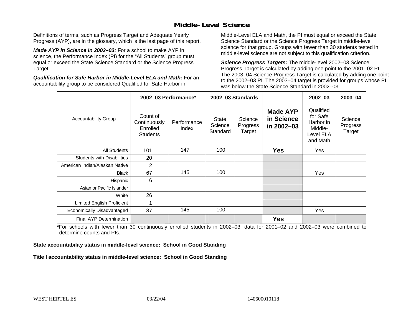### **Middle-Level Science**

Definitions of terms, such as Progress Target and Adequate Yearly Progress (AYP), are in the glossary, which is the last page of this report.

*Made AYP in Science in 2002–03:* For a school to make AYP in science, the Performance Index (PI) for the "All Students" group must equal or exceed the State Science Standard or the Science Progress Target.

*Qualification for Safe Harbor in Middle-Level ELA and Math:* For an accountability group to be considered Qualified for Safe Harbor in

Middle-Level ELA and Math, the PI must equal or exceed the State Science Standard or the Science Progress Target in middle-level science for that group. Groups with fewer than 30 students tested in middle-level science are not subject to this qualification criterion.

*Science Progress Targets:* The middle-level 2002–03 Science Progress Target is calculated by adding one point to the 2001–02 PI. The 2003–04 Science Progress Target is calculated by adding one point to the 2002–03 PI. The 2003–04 target is provided for groups whose PI was below the State Science Standard in 2002–03.

|                                   |                                                         | 2002-03 Performance* |                              | 2002-03 Standards             |                                             | $2002 - 03$                                                            | $2003 - 04$                   |
|-----------------------------------|---------------------------------------------------------|----------------------|------------------------------|-------------------------------|---------------------------------------------|------------------------------------------------------------------------|-------------------------------|
| <b>Accountability Group</b>       | Count of<br>Continuously<br>Enrolled<br><b>Students</b> | Performance<br>Index | State<br>Science<br>Standard | Science<br>Progress<br>Target | <b>Made AYP</b><br>in Science<br>in 2002-03 | Qualified<br>for Safe<br>Harbor in<br>Middle-<br>Level ELA<br>and Math | Science<br>Progress<br>Target |
| <b>All Students</b>               | 101                                                     | 147                  | 100                          |                               | <b>Yes</b>                                  | Yes                                                                    |                               |
| <b>Students with Disabilities</b> | 20                                                      |                      |                              |                               |                                             |                                                                        |                               |
| American Indian/Alaskan Native    | $\overline{2}$                                          |                      |                              |                               |                                             |                                                                        |                               |
| <b>Black</b>                      | 67                                                      | 145                  | 100                          |                               |                                             | Yes                                                                    |                               |
| Hispanic                          | 6                                                       |                      |                              |                               |                                             |                                                                        |                               |
| Asian or Pacific Islander         |                                                         |                      |                              |                               |                                             |                                                                        |                               |
| White                             | 26                                                      |                      |                              |                               |                                             |                                                                        |                               |
| Limited English Proficient        |                                                         |                      |                              |                               |                                             |                                                                        |                               |
| Economically Disadvantaged        | 87                                                      | 145                  | 100                          |                               |                                             | Yes                                                                    |                               |
| Final AYP Determination           |                                                         |                      |                              |                               | <b>Yes</b>                                  |                                                                        |                               |

\*For schools with fewer than 30 continuously enrolled students in 2002–03, data for 2001–02 and 2002–03 were combined to determine counts and PIs.

**State accountability status in middle-level science: School in Good Standing** 

Title I accountability status in middle-level science: School in Good Standing